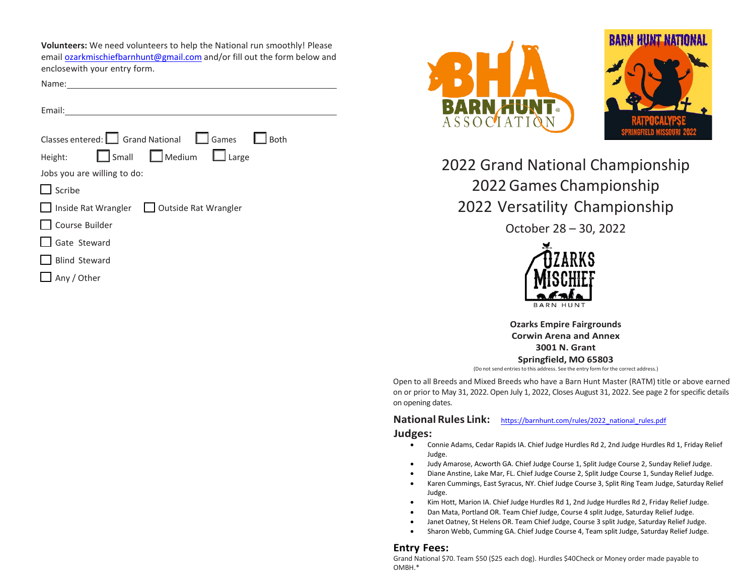**Volunteers:** We need volunteers to help the National run smoothly! Please email [ozarkmischiefbarnhunt@gmail.com](mailto:ozarkmischiefbarnhunt@gmail.com) and/or fill out the form below and enclosewith your entry form.

Name:

Email:

| Classes entered: $\Box$ Grand National $\Box$ Games $\Box$<br><b>Both</b> |
|---------------------------------------------------------------------------|
| Small Medium Large<br>Height:                                             |
| Jobs you are willing to do:                                               |
| Scribe                                                                    |
| Inside Rat Wrangler   Outside Rat Wrangler                                |
| Course Builder                                                            |
| Gate Steward                                                              |
| <b>Blind Steward</b>                                                      |
| Any / Other                                                               |
|                                                                           |





2022 Grand National Championship 2022 Games Championship 2022 Versatility Championship

October 28 – 30, 2022



**Ozarks Empire Fairgrounds Corwin Arena and Annex 3001 N. Grant Springfield, MO 65803**

(Do not send entries to this address. See the entry form for the correct address.)

Open to all Breeds and Mixed Breeds who have a Barn Hunt Master (RATM) title or above earned on or prior to May 31, 2022. Open July 1, 2022, Closes August 31, 2022. See page 2 for specific details on opening dates.

## **National Rules Link:** [https://barnhunt.com/rules/2022\\_national\\_rules.pdf](https://barnhunt.com/rules/2022_national_rules.pdf) **Judges:**

- Connie Adams, Cedar Rapids IA. Chief Judge Hurdles Rd 2, 2nd Judge Hurdles Rd 1, Friday Relief Judge.
- Judy Amarose, Acworth GA. Chief Judge Course 1, Split Judge Course 2, Sunday Relief Judge.
- Diane Anstine, Lake Mar, FL. Chief Judge Course 2, Split Judge Course 1, Sunday Relief Judge.
- Karen Cummings, East Syracus, NY. Chief Judge Course 3, Split Ring Team Judge, Saturday Relief Judge.
- Kim Hott, Marion IA. Chief Judge Hurdles Rd 1, 2nd Judge Hurdles Rd 2, Friday Relief Judge.
- Dan Mata, Portland OR. Team Chief Judge, Course 4 split Judge, Saturday Relief Judge.
- Janet Oatney, St Helens OR. Team Chief Judge, Course 3 split Judge, Saturday Relief Judge.
- Sharon Webb, Cumming GA. Chief Judge Course 4, Team split Judge, Saturday Relief Judge.

#### **Entry Fees:**

Grand National \$70. Team \$50 (\$25 each dog). Hurdles \$40Check or Money order made payable to OMBH.\*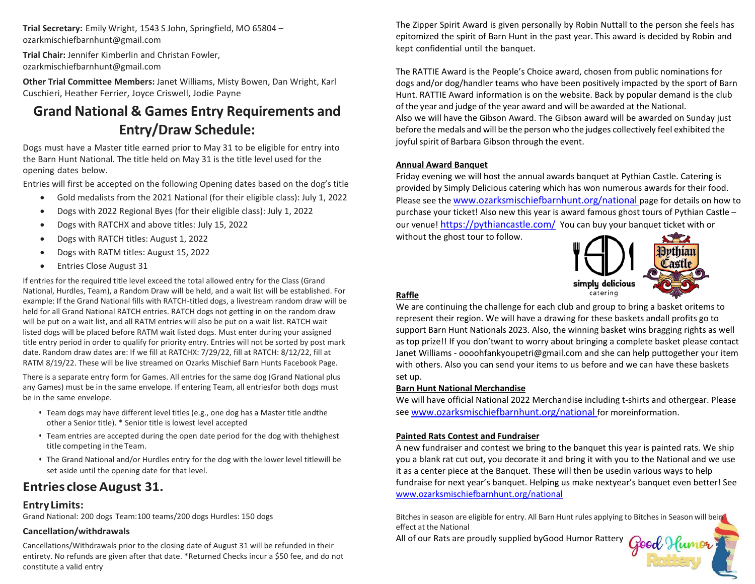**Trial Secretary:** Emily Wright, 1543 S John, Springfield, MO 65804 – [ozarkmischiefbarnhunt@gmail.com](mailto:ozarkmischiefbarnhunt@gmail.com)

**Trial Chair:** Jennifer Kimberlin and Christan Fowler, [ozarkmischiefbarnhunt@gmail.com](mailto:ozarkmischiefbarnhunt@gmail.com)

**Other Trial Committee Members:** Janet Williams, Misty Bowen, Dan Wright, Karl Cuschieri, Heather Ferrier, Joyce Criswell, Jodie Payne

# **Grand National & Games Entry Requirements and Entry/Draw Schedule:**

Dogs must have a Master title earned prior to May 31 to be eligible for entry into the Barn Hunt National. The title held on May 31 is the title level used for the opening dates below.

Entries will first be accepted on the following Opening dates based on the dog's title

- Gold medalists from the 2021 National (for their eligible class): July 1, 2022
- Dogs with 2022 Regional Byes (for their eligible class): July 1, 2022
- Dogs with RATCHX and above titles: July 15, 2022
- Dogs with RATCH titles: August 1, 2022
- Dogs with RATM titles: August 15, 2022
- Entries Close August 31

If entries for the required title level exceed the total allowed entry for the Class (Grand National, Hurdles, Team), a Random Draw will be held, and a wait list will be established. For example: If the Grand National fills with RATCH-titled dogs, a livestream random draw will be held for all Grand National RATCH entries. RATCH dogs not getting in on the random draw will be put on a wait list, and all RATM entries will also be put on a wait list. RATCH wait listed dogs will be placed before RATM wait listed dogs. Must enter during your assigned title entry period in order to qualify for priority entry. Entries will not be sorted by post mark date. Random draw dates are: If we fill at RATCHX: 7/29/22, fill at RATCH: 8/12/22, fill at RATM 8/19/22. These will be live streamed on Ozarks Mischief Barn Hunts Facebook Page.

There is a separate entry form for Games. All entries for the same dog (Grand National plus any Games) must be in the same envelope. If entering Team, all entriesfor both dogs must be in the same envelope.

- Team dogs may have different level titles (e.g., one dog has a Master title andthe other a Senior title). \* Senior title is lowest level accepted
- Team entries are accepted during the open date period for the dog with thehighest title competing in the Team.
- The Grand National and/or Hurdles entry for the dog with the lower level titlewill be set aside until the opening date for that level.

## **Entries closeAugust 31.**

## **Entry Limits:**

Grand National: 200 dogs Team:100 teams/200 dogs Hurdles: 150 dogs

### **Cancellation/withdrawals**

Cancellations/Withdrawals prior to the closing date of August 31 will be refunded in their entirety. No refunds are given after that date. \*Returned Checks incur a \$50 fee, and do not constitute a valid entry

The Zipper Spirit Award is given personally by Robin Nuttall to the person she feels has epitomized the spirit of Barn Hunt in the past year. This award is decided by Robin and kept confidential until the banquet.

The RATTIE Award is the People's Choice award, chosen from public nominations for dogs and/or dog/handler teams who have been positively impacted by the sport of Barn Hunt. RATTIE Award information is on the website. Back by popular demand is the club of the year and judge of the year award and will be awarded at the National. Also we will have the Gibson Award. The Gibson award will be awarded on Sunday just before the medals and will be the person who the judges collectively feel exhibited the joyful spirit of Barbara Gibson through the event.

#### **Annual Award Banquet**

Friday evening we will host the annual awards banquet at Pythian Castle. Catering is provided by Simply Delicious catering which has won numerous awards for their food. Please see the [www.ozarksmischiefbarnhunt.org/national p](http://www.ozarksmischiefbarnhunt.org/national)age for details on how to purchase your ticket! Also new this year is award famous ghost tours of Pythian Castle – our venue!<https://pythiancastle.com/>You can buy your banquet ticket with or without the ghost tour to follow.



Good Humor

## **Raffle**

We are continuing the challenge for each club and group to bring a basket oritems to represent their region. We will have a drawing for these baskets andall profits go to support Barn Hunt Nationals 2023. Also, the winning basket wins bragging rights as well as top prize!! If you don'twant to worry about bringing a complete basket please contact Janet Williams [- oooohfankyoupetri@gmail.com a](mailto:oooohfankyoupetri@gmail.com)nd she can help puttogether your item with others. Also you can send your items to us before and we can have these baskets set up.

### **Barn Hunt National Merchandise**

We will have official National 2022 Merchandise including t-shirts and othergear. Please se[e www.ozarksmischiefbarnhunt.org/national f](http://www.ozarksmischiefbarnhunt.org/national)or moreinformation.

### **Painted Rats Contest and Fundraiser**

A new fundraiser and contest we bring to the banquet this year is painted rats. We ship you a blank rat cut out, you decorate it and bring it with you to the National and we use it as a center piece at the Banquet. These will then be usedin various ways to help fundraise for next year's banquet. Helping us make nextyear's banquet even better! See [www.ozarksmischiefbarnhunt.org/national](http://www.ozarksmischiefbarnhunt.org/national)

Bitches in season are eligible for entry. All Barn Hunt rules applying to Bitches in Season will bein effect at the National

All of our Rats are proudly supplied byGood Humor Rattery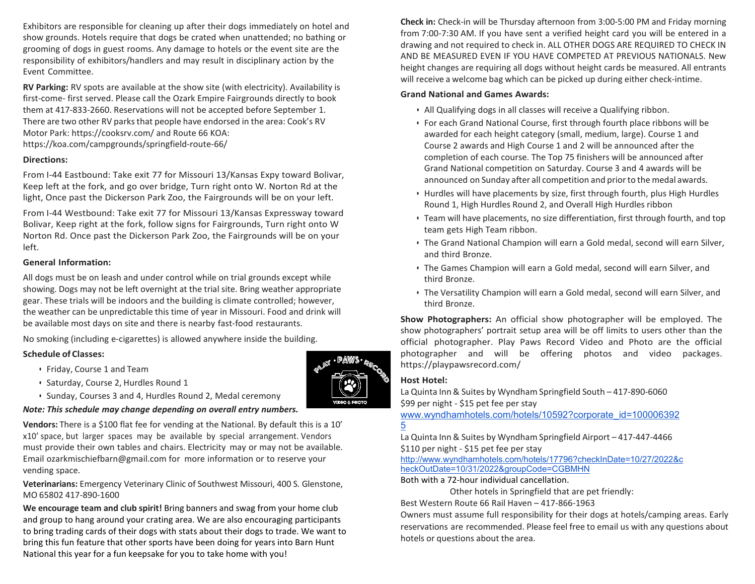Exhibitors are responsible for cleaning up after their dogs immediately on hotel and show grounds. Hotels require that dogs be crated when unattended; no bathing or grooming of dogs in guest rooms. Any damage to hotels or the event site are the responsibility of exhibitors/handlers and may result in disciplinary action by the Event Committee.

**RV Parking:** RV spots are available at the show site (with electricity). Availability is first-come- first served. Please call the Ozark Empire Fairgrounds directly to book them at 417-833-2660. Reservations will not be accepted before September 1. There are two other RV parks that people have endorsed in the area: Cook's RV Motor Park: https://cooksrv.com/ and Route 66 KOA: https://koa.com/campgrounds/springfield-route-66/

#### **Directions:**

From I-44 Eastbound: Take exit 77 for Missouri 13/Kansas Expy toward Bolivar, Keep left at the fork, and go over bridge, Turn right onto W. Norton Rd at the light, Once past the Dickerson Park Zoo, the Fairgrounds will be on your left.

From I-44 Westbound: Take exit 77 for Missouri 13/Kansas Expressway toward Bolivar, Keep right at the fork, follow signs for Fairgrounds, Turn right onto W Norton Rd. Once past the Dickerson Park Zoo, the Fairgrounds will be on your left.

#### **General Information:**

All dogs must be on leash and under control while on trial grounds except while showing. Dogs may not be left overnight at the trial site. Bring weather appropriate gear. These trials will be indoors and the building is climate controlled; however, the weather can be unpredictable this time of year in Missouri. Food and drink will be available most days on site and there is nearby fast-food restaurants.

No smoking (including e-cigarettes) is allowed anywhere inside the building.

### **Schedule of Classes:**

- Friday, Course 1 and Team
- Saturday, Course 2, Hurdles Round 1
- Sunday, Courses 3 and 4, Hurdles Round 2, Medal ceremony

## *Note: This schedule may change depending on overall entry numbers.*

**Vendors:** There is a \$100 flat fee for vending at the National. By default this is a 10' x 10' space, but larger spaces may be available by special arrangement. Vendors must provide their own tables and chairs. Electricity may or may not be available. Email [ozarkmischiefbarn@gmail.com](mailto:ozarkmischiefbarn@gmail.com) for more information or to reserve your vending space.

**Veterinarians:** Emergency Veterinary Clinic of Southwest Missouri, 400 S. Glenstone, MO 65802 417-890-1600

**We encourage team and club spirit!** Bring banners and swag from your home club and group to hang around your crating area. We are also encouraging participants to bring trading cards of their dogs with stats about their dogs to trade. We want to bring this fun feature that other sports have been doing for years into Barn Hunt National this year for a fun keepsake for you to take home with you!

**Check in:** Check-in will be Thursday afternoon from 3:00-5:00 PM and Friday morning from 7:00-7:30 AM. If you have sent a verified height card you will be entered in a drawing and not required to check in. ALL OTHER DOGS ARE REQUIRED TO CHECK IN AND BE MEASURED EVEN IF YOU HAVE COMPETED AT PREVIOUS NATIONALS. New height changes are requiring all dogs without height cards be measured. All entrants will receive a welcome bag which can be picked up during either check-intime.

## **Grand National and Games Awards:**

- All Qualifying dogs in all classes will receive a Qualifying ribbon.
- For each Grand National Course, first through fourth place ribbons will be awarded for each height category (small, medium, large). Course 1 and Course 2 awards and High Course 1 and 2 will be announced after the completion of each course. The Top 75 finishers will be announced after Grand National competition on Saturday. Course 3 and 4 awards will be announced on Sunday after all competition and priorto the medal awards.
- Hurdles will have placements by size, first through fourth, plus High Hurdles Round 1, High Hurdles Round 2, and Overall High Hurdles ribbon
- Team will have placements, no size differentiation, first through fourth, and top team gets High Team ribbon.
- The Grand National Champion will earn a Gold medal, second will earn Silver, and third Bronze.
- The Games Champion will earn a Gold medal, second will earn Silver, and third Bronze.
- The Versatility Champion will earn a Gold medal, second will earn Silver, and third Bronze.

**Show Photographers:** An official show photographer will be employed. The show photographers' portrait setup area will be off limits to users other than the official photographer. Play Paws Record Video and Photo are the official photographer and will be offering photos and video packages. https://playpawsrecord.com/

### **Host Hotel:**

La Quinta Inn & Suites by Wyndham Springfield South – 417-890-6060 \$99 per night - \$15 pet fee per stay

[www.wyndhamhotels.com/hotels/10592?corporate\\_id=100006392](https://urldefense.com/v3/__http:/www.wyndhamhotels.com/hotels/10592?corporate_id=1000063925__;!!Nf401RNTQFE14GfWW3o!maKMc_qmx7xUxTbnxXBighCiWYdBotH-MsXWP5tfgeuanCFflRdJraJ8oyP7Wknes5NA-AkUd7TKYtEJNOz2rogiuvQLJLPKIXQ$) [5](https://urldefense.com/v3/__http:/www.wyndhamhotels.com/hotels/10592?corporate_id=1000063925__;!!Nf401RNTQFE14GfWW3o!maKMc_qmx7xUxTbnxXBighCiWYdBotH-MsXWP5tfgeuanCFflRdJraJ8oyP7Wknes5NA-AkUd7TKYtEJNOz2rogiuvQLJLPKIXQ$)

La Quinta Inn & Suites by Wyndham Springfield Airport – 417-447-4466 \$110 per night - \$15 pet fee per stay

[http://www.wyndhamhotels.com/hotels/17796?checkInDate=10/27/2022&c](http://www.wyndhamhotels.com/hotels/17796?checkInDate=10/27/2022&checkOutDate=10/31/2022&groupCode=CGBMHN) [heckOutDate=10/31/2022&groupCode=CGBMHN](http://www.wyndhamhotels.com/hotels/17796?checkInDate=10/27/2022&checkOutDate=10/31/2022&groupCode=CGBMHN)

Both with a 72-hour individual cancellation.

Other hotels in Springfield that are pet friendly:

Best Western Route 66 Rail Haven – 417-866-1963

Owners must assume full responsibility for their dogs at hotels/camping areas. Early reservations are recommended. Please feel free to email us with any questions about hotels or questions about the area.